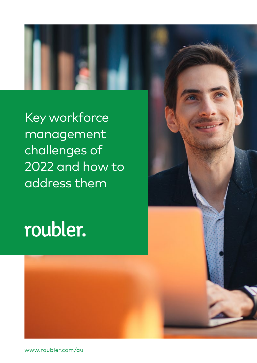

Key workforce management challenges of 2022 and how to address them

# roubler.



www.roubler.com/au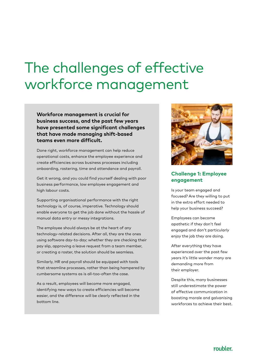### The challenges of effective workforce management

**Workforce management is crucial for business success, and the past few years have presented some significant challenges that have made managing shift-based teams even more difficult.**

Done right, workforce management can help reduce operational costs, enhance the employee experience and create efficiencies across business processes including onboarding, rostering, time and attendance and payroll.

Get it wrong, and you could find yourself dealing with poor business performance, low employee engagement and high labour costs.

Supporting organisational performance with the right technology is, of course, imperative. Technology should enable everyone to get the job done without the hassle of manual data entry or messy integrations.

The employee should always be at the heart of any technology-related decisions. After all, they are the ones using software day-to-day; whether they are checking their pay slip, approving a leave request from a team member, or creating a roster, the solution should be seamless.

Similarly, HR and payroll should be equipped with tools that streamline processes, rather than being hampered by cumbersome systems as is all-too-often the case.

As a result, employees will become more engaged, identifying new ways to create efficiencies will become easier, and the difference will be clearly reflected in the bottom line.



#### **Challenge 1: Employee engagement**

Is your team engaged and focused? Are they willing to put in the extra effort needed to help your business succeed?

Employees can become apathetic if they don't feel engaged and don't particularly enjoy the job they are doing.

After everything they have experienced over the past few years it's little wonder many are demanding more from their employer.

Despite this, many businesses still underestimate the power of effective communication in boosting morale and galvanising workforces to achieve their best.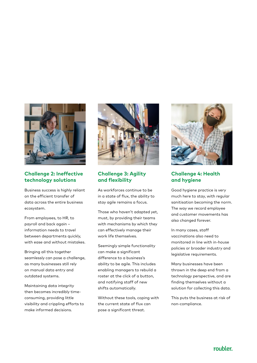

#### **Challenge 2: Ineffective technology solutions**

Business success is highly reliant on the efficient transfer of data across the entire business ecosystem.

From employees, to HR, to payroll and back again – information needs to travel between departments quickly, with ease and without mistakes.

Bringing all this together seamlessly can pose a challenge, as many businesses still rely on manual data entry and outdated systems.

Maintaining data integrity then becomes incredibly timeconsuming, providing little visibility and crippling efforts to make informed decisions.



#### **Challenge 3: Agility and flexibility**

As workforces continue to be in a state of flux, the ability to stay agile remains a focus.

Those who haven't adapted yet, must, by providing their teams with mechanisms by which they can effectively manage their work life themselves.

Seemingly simple functionality can make a significant difference to a business's ability to be agile. This includes enabling managers to rebuild a roster at the click of a button, and notifying staff of new shifts automatically.

Without these tools, coping with the current state of flux can pose a significant threat.



#### **Challenge 4: Health and hygiene**

Good hygiene practice is very much here to stay, with regular sanitisation becoming the norm. The way we record employee and customer movements has also changed forever.

In many cases, staff vaccinations also need to monitored in line with in-house policies or broader industry and legislative requirements.

Many businesses have been thrown in the deep end from a technology perspective, and are finding themselves without a solution for collecting this data.

This puts the business at risk of non-compliance.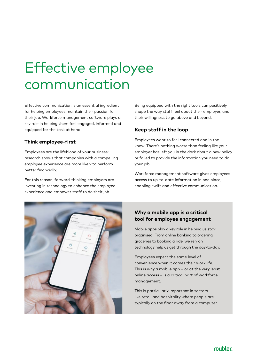# Effective employee communication

Effective communication is an essential ingredient for helping employees maintain their passion for their job. Workforce management software plays a key role in helping them feel engaged, informed and equipped for the task at hand.

#### **Think employee-first**

Employees are the lifeblood of your business: research shows that companies with a compelling employee experience are more likely to perform better financially.

For this reason, forward-thinking employers are investing in technology to enhance the employee experience and empower staff to do their job.

Being equipped with the right tools can positively shape the way staff feel about their employer, and their willingness to go above and beyond.

#### **Keep staff in the loop**

Employees want to feel connected and in the know. There's nothing worse than feeling like your employer has left you in the dark about a new policy or failed to provide the information you need to do your job.

Workforce management software gives employees access to up-to-date information in one place, enabling swift and effective communication.



#### **Why a mobile app is a critical tool for employee engagement**

Mobile apps play a key role in helping us stay organised. From online banking to ordering groceries to booking a ride, we rely on technology help us get through the day-to-day.

Employees expect the same level of convenience when it comes their work life. This is why a mobile app – or at the very least online access – is a critical part of workforce management.

This is particularly important in sectors like retail and hospitality where people are typically on the floor away from a computer.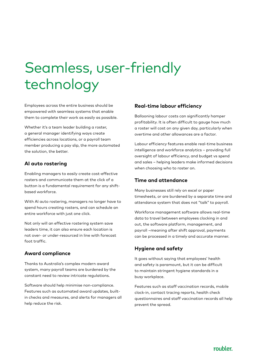# Seamless, user-friendly technology

Employees across the entire business should be empowered with seamless systems that enable them to complete their work as easily as possible.

Whether it's a team leader building a roster, a general manager identifying ways create efficiencies across locations, or a payroll team member producing a pay slip, the more automated the solution, the better.

#### **AI auto rostering**

Enabling managers to easily create cost-effective rosters and communicate them at the click of a button is a fundamental requirement for any shiftbased workforce.

With AI auto rostering, managers no longer have to spend hours creating rosters, and can schedule an entire workforce with just one click.

Not only will an effective rostering system save leaders time, it can also ensure each location is not over- or under-resourced in line with forecast foot traffic.

#### **Award compliance**

Thanks to Australia's complex modern award system, many payroll teams are burdened by the constant need to review intricate regulations.

Software should help minimise non-compliance. Features such as automated award updates, builtin checks and measures, and alerts for managers all help reduce the risk.

#### **Real-time labour efficiency**

Ballooning labour costs can significantly hamper profitability. It is often difficult to gauge how much a roster will cost on any given day, particularly when overtime and other allowances are a factor.

Labour efficiency features enable real-time business intelligence and workforce analytics – providing full oversight of labour efficiency, and budget vs spend and sales – helping leaders make informed decisions when choosing who to roster on.

#### **Time and attendance**

Many businesses still rely on excel or paper timesheets, or are burdened by a separate time and attendance system that does not "talk" to payroll.

Workforce management software allows real-time data to travel between employees clocking in and out, the software platform, management, and payroll –meaning after shift approval, payments can be processed in a timely and accurate manner.

#### **Hygiene and safety**

It goes without saying that employees' health and safety is paramount, but it can be difficult to maintain stringent hygiene standards in a busy workplace.

Features such as staff vaccination records, mobile clock-in, contact tracing reports, health check questionnaires and staff vaccination records all help prevent the spread.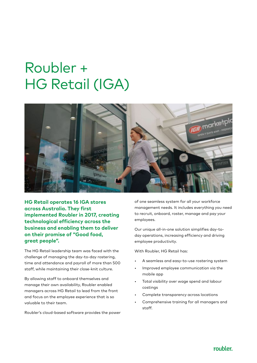## Roubler + HG Retail (IGA)



**HG Retail operates 16 IGA stores across Australia. They first implemented Roubler in 2017, creating technological efficiency across the business and enabling them to deliver on their promise of "Good food, great people".** 

The HG Retail leadership team was faced with the challenge of managing the day-to-day rostering, time and attendance and payroll of more than 500 staff, while maintaining their close-knit culture.

By allowing staff to onboard themselves and manage their own availability, Roubler enabled managers across HG Retail to lead from the front and focus on the employee experience that is so valuable to their team.

Roubler's cloud-based software provides the power

of one seamless system for all your workforce management needs. It includes everything you need to recruit, onboard, roster, manage and pay your employees.

Our unique all-in-one solution simplifies day-today operations, increasing efficiency and driving employee productivity.

With Roubler, HG Retail has:

- A seamless and easy-to-use rostering system
- Improved employee communication via the mobile app
- Total visibility over wage spend and labour costings
- Complete transparency across locations
- Comprehensive training for all managers and staff.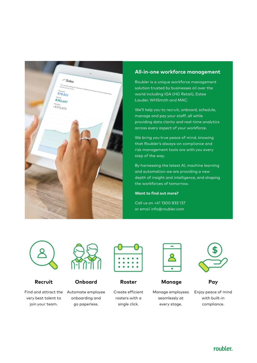

#### **All-in-one workforce management**

Roubler is a unique workforce management solution trusted by businesses all over the world including IGA (HG Retail), Estee Lauder, WHSmith and MAC.

We'll help you to recruit, onboard, schedule, manage and pay your staff, all while providing data clarity and real-time analytics across every aspect of your workforce.

We bring you true peace of mind, knowing that Roubler's always-on compliance and risk management tools are with you every step of the way.

By harnessing the latest AI, machine learning and automation we are providing a new depth of insight and intelligence, and shaping the workforces of tomorrow.

#### **Want to find out more?**

Call us on +61 1300 833 137 or email info@roubler.com



#### **Recruit**

Find and attract the Automate employee very best talent to join your team.



#### **Onboard**

onboarding and go paperless.



**Roster**

Create efficient rosters with a single click.



 **Manage**

Manage employees seamlessly at every stage.



**Pay**

Enjoy peace of mind with built-in compliance.